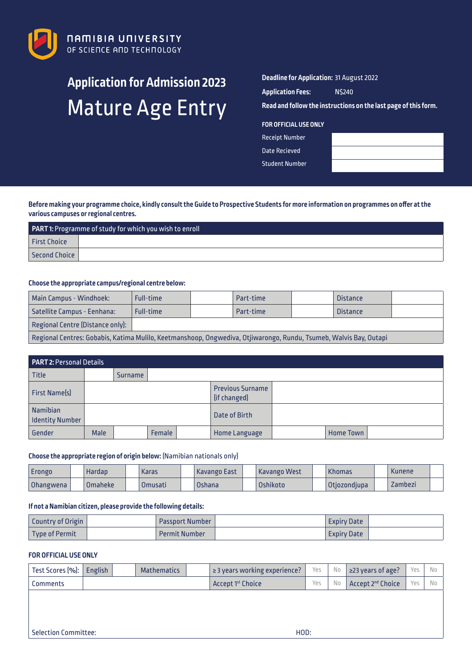

# **Application for Admission 2023** Mature Age Entry

## **Deadline for Application:** 31 August 2022

| <b>Application Fees:</b> | N\$240 |
|--------------------------|--------|
|--------------------------|--------|

**Read and follow the instructions on the last page of this form.**

#### **FOR OFFICIAL USE ONLY**

Receipt Number Date Recieved

Student Number

**Before making your programme choice, kindly consult the Guide to Prospective Students for more information on programmes on offer at the various campuses or regional centres.**

| <b>PART 1: Programme of study for which you wish to enroll</b> |  |  |  |  |  |  |  |
|----------------------------------------------------------------|--|--|--|--|--|--|--|
| <b>First Choice</b>                                            |  |  |  |  |  |  |  |
| Second Choice                                                  |  |  |  |  |  |  |  |

#### **Choose the appropriate campus/regional centre below:**

| <b>Main Campus - Windhoek:</b>                                                                                    | <b>Full-time</b> |  | Part-time |  | <b>Distance</b> |  |  |  |  |
|-------------------------------------------------------------------------------------------------------------------|------------------|--|-----------|--|-----------------|--|--|--|--|
| Satellite Campus - Eenhana:                                                                                       | <b>Full-time</b> |  | Part-time |  | <b>Distance</b> |  |  |  |  |
| Regional Centre (Distance only):                                                                                  |                  |  |           |  |                 |  |  |  |  |
| Regional Centres: Gobabis, Katima Mulilo, Keetmanshoop, Ongwediva, Otjiwarongo, Rundu, Tsumeb, Walvis Bay, Outapi |                  |  |           |  |                 |  |  |  |  |

| <b>PART 2: Personal Details</b>           |             |                                         |               |  |                      |  |                  |  |  |  |
|-------------------------------------------|-------------|-----------------------------------------|---------------|--|----------------------|--|------------------|--|--|--|
| <b>Title</b>                              |             | <b>Surname</b>                          |               |  |                      |  |                  |  |  |  |
| <b>First Name(s)</b>                      |             | <b>Previous Surname</b><br>(if changed) |               |  |                      |  |                  |  |  |  |
| <b>Namibian</b><br><b>Identity Number</b> |             |                                         |               |  | Date of Birth        |  |                  |  |  |  |
| Gender                                    | <b>Male</b> |                                         | <b>Female</b> |  | <b>Home Language</b> |  | <b>Home Town</b> |  |  |  |

## **Choose the appropriate region of origin below:** (Namibian nationals only)

| Erongo    | Hardap    | <b>Karas</b> | l Kavango East | Kavango West | <b>Khomas</b> | <b>Kunene</b> |  |
|-----------|-----------|--------------|----------------|--------------|---------------|---------------|--|
| Ohangwena | l Omaheke | Omusati      | <b>Oshana</b>  | Oshikoto     | Otjozondjupa  | Zambezi       |  |

## **If not a Namibian citizen, please provide the following details:**

| <b>Country of Origin</b> | <b>Passport Number</b> | <b>Expiry Date</b> |  |
|--------------------------|------------------------|--------------------|--|
| Type of Permit           | <b>Permit Number</b>   | <b>Expiry Date</b> |  |

#### **FOR OFFICIAL USE ONLY**

| Test Scores [%]: | English | <b>Mathematics</b> | $\geq$ 3 years working experience? | Yes | No | $\geq$ 23 years of age?       | Yes | No  |
|------------------|---------|--------------------|------------------------------------|-----|----|-------------------------------|-----|-----|
| <b>Comments</b>  |         |                    | Accept 1 <sup>st</sup> Choice      | Yes | No | Accept 2 <sup>nd</sup> Choice | Yes | No. |
|                  |         |                    |                                    |     |    |                               |     |     |
|                  |         |                    |                                    |     |    |                               |     |     |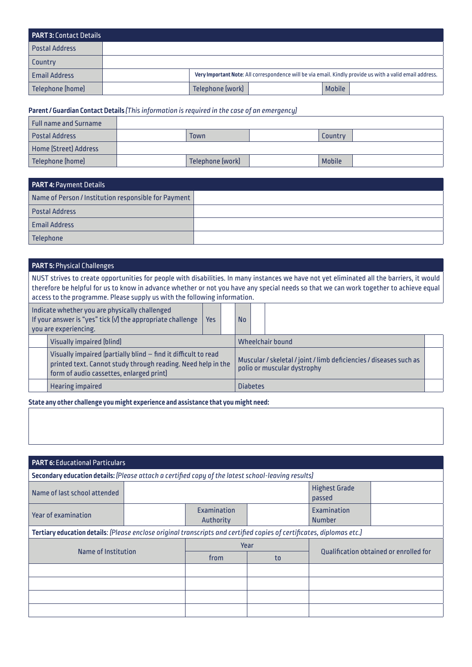| <b>PART 3: Contact Details</b> |                  |               |                                                                                                          |
|--------------------------------|------------------|---------------|----------------------------------------------------------------------------------------------------------|
| <b>Postal Address</b>          |                  |               |                                                                                                          |
| <b>Country</b>                 |                  |               |                                                                                                          |
| <b>Email Address</b>           |                  |               | Very Important Note: All correspondence will be via email. Kindly provide us with a valid email address. |
| Telephone (home)               | Telephone (work) | <b>Mobile</b> |                                                                                                          |

## **Parent / Guardian Contact Details** *(This information is required in the case of an emergency)*

| Full name and Surname |                  |               |  |
|-----------------------|------------------|---------------|--|
| <b>Postal Address</b> | Town             | Country       |  |
| Home (Street) Address |                  |               |  |
| Telephone (home)      | Telephone (work) | <b>Mobile</b> |  |

| <b>PART 4: Payment Details</b>                       |  |  |  |  |  |  |
|------------------------------------------------------|--|--|--|--|--|--|
| Name of Person / Institution responsible for Payment |  |  |  |  |  |  |
| <b>Postal Address</b>                                |  |  |  |  |  |  |
| <b>Email Address</b>                                 |  |  |  |  |  |  |
| <b>Telephone</b>                                     |  |  |  |  |  |  |

# **PART 5:** Physical Challenges

NUST strives to create opportunities for people with disabilities. In many instances we have not yet eliminated all the barriers, it would therefore be helpful for us to know in advance whether or not you have any special needs so that we can work together to achieve equal access to the programme. Please supply us with the following information.

| Indicate whether you are physically challenged<br>If your answer is "yes" tick [V] the appropriate challenge<br>you are experiencing. |                                                                                                                                                                            |  |  | No |                 |                                                                                                   |  |  |  |  |
|---------------------------------------------------------------------------------------------------------------------------------------|----------------------------------------------------------------------------------------------------------------------------------------------------------------------------|--|--|----|-----------------|---------------------------------------------------------------------------------------------------|--|--|--|--|
|                                                                                                                                       | <b>Visually impaired [blind]</b>                                                                                                                                           |  |  |    |                 | Wheelchair bound                                                                                  |  |  |  |  |
|                                                                                                                                       | Visually impaired (partially blind - find it difficult to read<br>printed text. Cannot study through reading. Need help in the<br>form of audio cassettes, enlarged print) |  |  |    |                 | Muscular / skeletal / joint / limb deficiencies / diseases such as<br>polio or muscular dystrophy |  |  |  |  |
|                                                                                                                                       | <b>Hearing impaired</b>                                                                                                                                                    |  |  |    | <b>Diabetes</b> |                                                                                                   |  |  |  |  |

**State any other challenge you might experience and assistance that you might need:**

| <b>PART 6: Educational Particulars</b>                                                                                |  |                          |      |                                |                                               |  |  |  |  |  |  |
|-----------------------------------------------------------------------------------------------------------------------|--|--------------------------|------|--------------------------------|-----------------------------------------------|--|--|--|--|--|--|
| Secondary education details: (Please attach a certified copy of the latest school-leaving results)                    |  |                          |      |                                |                                               |  |  |  |  |  |  |
| Name of last school attended                                                                                          |  |                          |      | <b>Highest Grade</b><br>passed |                                               |  |  |  |  |  |  |
| <b>Year of examination</b>                                                                                            |  | Examination<br>Authority |      | Examination<br><b>Number</b>   |                                               |  |  |  |  |  |  |
| Tertiary education details: (Please enclose original transcripts and certified copies of certificates, diplomas etc.) |  |                          |      |                                |                                               |  |  |  |  |  |  |
|                                                                                                                       |  |                          | Year |                                |                                               |  |  |  |  |  |  |
| Name of Institution                                                                                                   |  | from                     | to   |                                | <b>Oualification obtained or enrolled for</b> |  |  |  |  |  |  |
|                                                                                                                       |  |                          |      |                                |                                               |  |  |  |  |  |  |
|                                                                                                                       |  |                          |      |                                |                                               |  |  |  |  |  |  |
|                                                                                                                       |  |                          |      |                                |                                               |  |  |  |  |  |  |
|                                                                                                                       |  |                          |      |                                |                                               |  |  |  |  |  |  |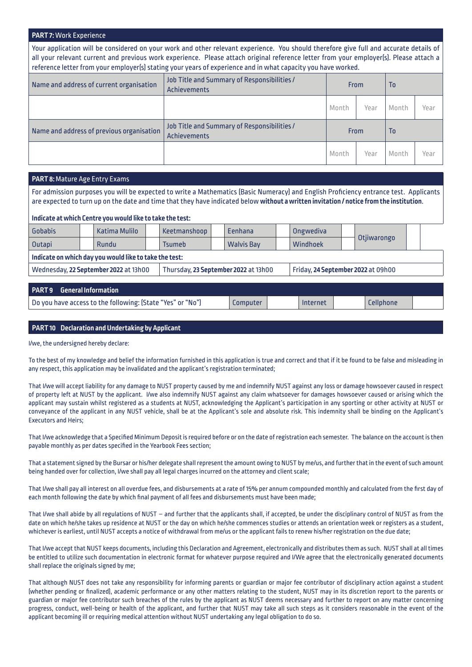#### **PART 7:** Work Experience

Your application will be considered on your work and other relevant experience. You should therefore give full and accurate details of all your relevant current and previous work experience. Please attach original reference letter from your employer(s). Please attach a reference letter from your employer(s) stating your years of experience and in what capacity you have worked.

| Name and address of current organisation  | Job Title and Summary of Responsibilities /<br>Achievements | <b>From</b> |      | T <sub>0</sub> |      |  |
|-------------------------------------------|-------------------------------------------------------------|-------------|------|----------------|------|--|
|                                           |                                                             | Month       | Year | Month          | Year |  |
| Name and address of previous organisation | Job Title and Summary of Responsibilities /<br>Achievements | From        |      | T <sub>0</sub> |      |  |
|                                           |                                                             | Month       | Year | Month          | Year |  |

## **PART 8:** Mature Age Entry Exams

For admission purposes you will be expected to write a Mathematics (Basic Numeracy) and English Proficiency entrance test. Applicants are expected to turn up on the date and time that they have indicated below **without a written invitation / notice from the institution**.

#### **Indicate at which Centre you would like to take the test:**

| <b>Gobabis</b>                                                                |  | Katima Mulilo |  | Keetmanshoop                       |  | Eenhana           |  | <b>Ongwediva</b> |  |             |  |  |
|-------------------------------------------------------------------------------|--|---------------|--|------------------------------------|--|-------------------|--|------------------|--|-------------|--|--|
| <b>Outapi</b>                                                                 |  | Rundu         |  | <b>Tsumeb</b>                      |  | <b>Walvis Bay</b> |  | Windhoek         |  | Otjiwarongo |  |  |
| Indicate on which day you would like to take the test:                        |  |               |  |                                    |  |                   |  |                  |  |             |  |  |
| Wednesday, 22 September 2022 at 13h00<br>Thursday, 23 September 2022 at 13h00 |  |               |  | Friday, 24 September 2022 at 09h00 |  |                   |  |                  |  |             |  |  |
|                                                                               |  |               |  |                                    |  |                   |  |                  |  |             |  |  |

| <b>PART 9</b> General Information                          |          |          |                  |  |
|------------------------------------------------------------|----------|----------|------------------|--|
| Do you have access to the following: (State "Yes" or "No") | Computer | Internet | <i>Cellphone</i> |  |
|                                                            |          |          |                  |  |

#### **PART 10 Declaration and Undertaking by Applicant**

I/we, the undersigned hereby declare:

To the best of my knowledge and belief the information furnished in this application is true and correct and that if it be found to be false and misleading in any respect, this application may be invalidated and the applicant's registration terminated;

That I/we will accept liability for any damage to NUST property caused by me and indemnify NUST against any loss or damage howsoever caused in respect of property left at NUST by the applicant. I/we also indemnify NUST against any claim whatsoever for damages howsoever caused or arising which the applicant may sustain whilst registered as a students at NUST, acknowledging the Applicant's participation in any sporting or other activity at NUST or conveyance of the applicant in any NUST vehicle, shall be at the Applicant's sole and absolute risk. This indemnity shall be binding on the Applicant's Executors and Heirs;

That I/we acknowledge that a Specified Minimum Deposit is required before or on the date of registration each semester. The balance on the account is then payable monthly as per dates specified in the Yearbook Fees section;

That a statement signed by the Bursar or his/her delegate shall represent the amount owing to NUST by me/us, and further that in the event of such amount being handed over for collection, I/we shall pay all legal charges incurred on the attorney and client scale;

That I/we shall pay all interest on all overdue fees, and disbursements at a rate of 15% per annum compounded monthly and calculated from the first day of each month following the date by which final payment of all fees and disbursements must have been made;

That I/we shall abide by all regulations of NUST – and further that the applicants shall, if accepted, be under the disciplinary control of NUST as from the date on which he/she takes up residence at NUST or the day on which he/she commences studies or attends an orientation week or registers as a student, whichever is earliest, until NUST accepts a notice of withdrawal from me/us or the applicant fails to renew his/her registration on the due date;

That I/we accept that NUST keeps documents, including this Declaration and Agreement, electronically and distributes them as such. NUST shall at all times be entitled to utilize such documentation in electronic format for whatever purpose required and I/We agree that the electronically generated documents shall replace the originals signed by me;

That although NUST does not take any responsibility for informing parents or guardian or major fee contributor of disciplinary action against a student (whether pending or finalized), academic performance or any other matters relating to the student, NUST may in its discretion report to the parents or guardian or major fee contributor such breaches of the rules by the applicant as NUST deems necessary and further to report on any matter concerning progress, conduct, well-being or health of the applicant, and further that NUST may take all such steps as it considers reasonable in the event of the applicant becoming ill or requiring medical attention without NUST undertaking any legal obligation to do so.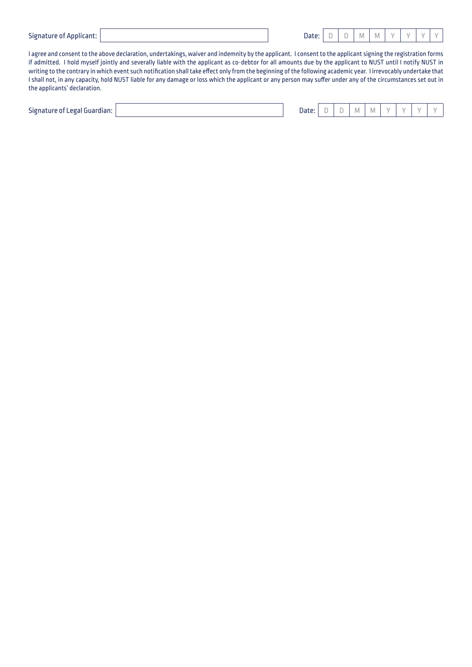| <b>Signature of Applicant:</b> |  |  |
|--------------------------------|--|--|
|--------------------------------|--|--|

| Signature of Applicant: | Date: I | . DI | M M | $\vee$ | $\vee$ | YY |  |
|-------------------------|---------|------|-----|--------|--------|----|--|
|                         |         |      |     |        |        |    |  |

I agree and consent to the above declaration, undertakings, waiver and indemnity by the applicant. I consent to the applicant signing the registration forms if admitted. I hold myself jointly and severally liable with the applicant as co-debtor for all amounts due by the applicant to NUST until I notify NUST in writing to the contrary in which event such notification shall take effect only from the beginning of the following academic year. I irrevocably undertake that I shall not, in any capacity, hold NUST liable for any damage or loss which the applicant or any person may suffer under any of the circumstances set out in the applicants' declaration.

| $- \cdot$<br>Signature of Legal Guardian: |  | Date: | $\sim$ |  | IМ | IVI. |  | v |  |  |
|-------------------------------------------|--|-------|--------|--|----|------|--|---|--|--|
|-------------------------------------------|--|-------|--------|--|----|------|--|---|--|--|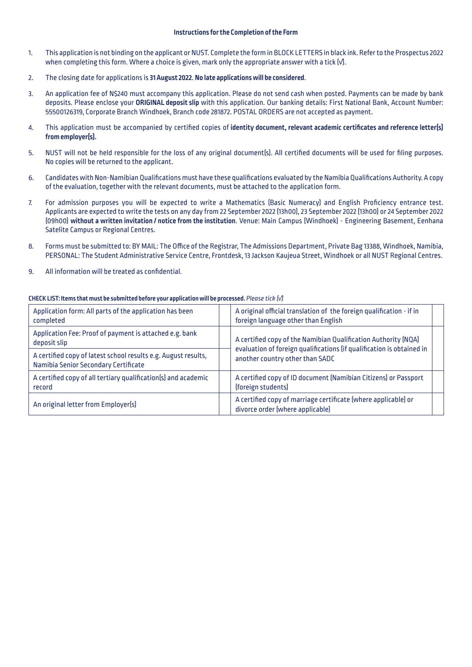#### **Instructions for the Completion of the Form**

- 1. This application is not binding on the applicant or NUST. Complete the form in BLOCK LETTERS in black ink. Refer to the Prospectus 2022 when completing this form. Where a choice is given, mark only the appropriate answer with a tick [√].
- 2. The closing date for applications is **31 August 2022**. **No late applications will be considered**.
- 3. An application fee of N\$240 must accompany this application. Please do not send cash when posted. Payments can be made by bank deposits. Please enclose your **ORIGINAL deposit slip** with this application. Our banking details: First National Bank, Account Number: 55500126319, Corporate Branch Windhoek, Branch code 281872. POSTAL ORDERS are not accepted as payment.
- 4. This application must be accompanied by certified copies of **identity document, relevant academic certificates and reference letter(s) from employer(s).**
- 5. NUST will not be held responsible for the loss of any original document(s). All certified documents will be used for filing purposes. No copies will be returned to the applicant.
- 6. Candidates with Non-Namibian Qualifications must have these qualifications evaluated by the Namibia Qualifications Authority. A copy of the evaluation, together with the relevant documents, must be attached to the application form.
- 7. For admission purposes you will be expected to write a Mathematics (Basic Numeracy) and English Proficiency entrance test. Applicants are expected to write the tests on any day from 22 September 2022 (13h00), 23 September 2022 (13h00) or 24 September 2022 (09h00) **without a written invitation / notice from the institution**. Venue: Main Campus (Windhoek) - Engineering Basement, Eenhana Satelite Campus or Regional Centres.
- 8. Forms must be submitted to: BY MAIL: The Office of the Registrar, The Admissions Department, Private Bag 13388, Windhoek, Namibia, PERSONAL: The Student Administrative Service Centre, Frontdesk, 13 Jackson Kaujeua Street, Windhoek or all NUST Regional Centres.
- 9. All information will be treated as confidential.

| Application form: All parts of the application has been<br>completed                                   |  | A original official translation of the foreign qualification - if in<br>foreign language other than English |  |  |  |
|--------------------------------------------------------------------------------------------------------|--|-------------------------------------------------------------------------------------------------------------|--|--|--|
| Application Fee: Proof of payment is attached e.g. bank<br>deposit slip                                |  | A certified copy of the Namibian Qualification Authority (NQA)                                              |  |  |  |
| A certified copy of latest school results e.g. August results,<br>Namibia Senior Secondary Certificate |  | evaluation of foreign qualifications (if qualification is obtained in<br>another country other than SADC    |  |  |  |
| A certified copy of all tertiary qualification(s) and academic<br>record                               |  | A certified copy of ID document (Namibian Citizens) or Passport<br>(foreign students)                       |  |  |  |
| An original letter from Employer(s)                                                                    |  | A certified copy of marriage certificate (where applicable) or<br>divorce order (where applicable)          |  |  |  |

#### **CHECK LIST: Items that must be submitted before your application will be processed.** *Please tick (√)*